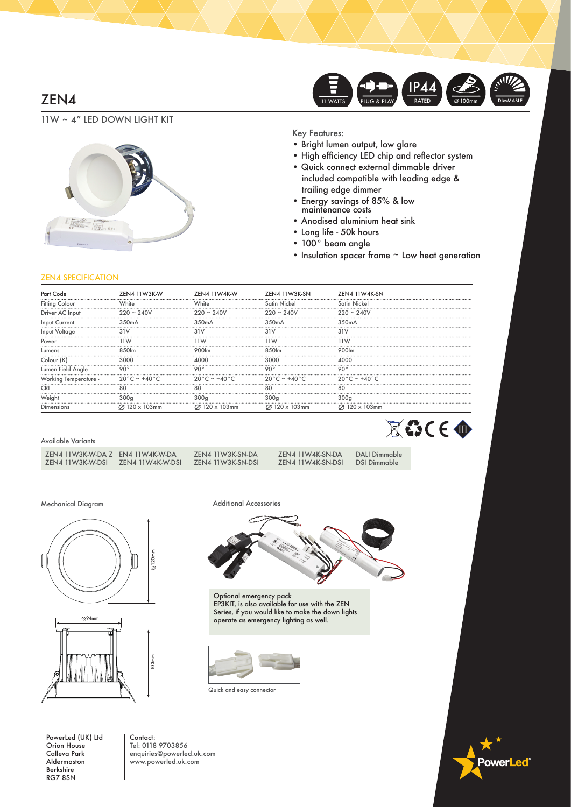# ZEN4



11W ~ 4" LED DOWN LIGHT KIT



Key Features:

- Bright lumen output, low glare
- High efficiency LED chip and reflector system
- Quick connect external dimmable driver included compatible with leading edge & trailing edge dimmer
- Energy savings of 85% & low maintenance costs
- Anodised aluminium heat sink
- Long life 50k hours
- 100° beam angle
- Insulation spacer frame ~ Low heat generation

### ZEN4 SPECIFICATION

|                       | 7FN4 11W3K-W                      | <b>7FNA 11WAK-W</b>               | 7FN4 11W3K-SN                     | 7FN4 11W4K-SN                     |
|-----------------------|-----------------------------------|-----------------------------------|-----------------------------------|-----------------------------------|
| <b>Fitting Colour</b> |                                   | White                             | Satin Nickel                      | Satin Nickel                      |
| Driver AC Input       | $220 \sim 240V$                   | <br>$220 \sim 240 V$              | <br>$220 - 240V$                  | $220 - 240V$                      |
| <br>Input Current     | $350m\Delta$                      | 350mA                             | $350m\Delta$                      | 350mA                             |
| Input Voltage         |                                   |                                   |                                   |                                   |
| Power                 |                                   | 1W                                | 1 W                               | 11 W                              |
| Lumens                |                                   |                                   | 8.50lm                            |                                   |
| Colour IK             | 3000                              |                                   |                                   |                                   |
| Lumen Field Angle     | o∩∘                               |                                   | $\circ$ $\circ$                   | $\circ$                           |
| Working Temperature - | $20^{\circ}$ C ~ +40 $^{\circ}$ C | $20^{\circ}$ C ~ +40 $^{\circ}$ C | $20^{\circ}$ C ~ +40 $^{\circ}$ C | $20^{\circ}$ C ~ +40 $^{\circ}$ C |
|                       |                                   |                                   |                                   | яr                                |
|                       | 300a                              |                                   |                                   | 300a                              |
| <b>Jimensions</b>     | $120 \times 103$ mm               | $120 \times 103$ mm               | ⊘ 120 x 103mm                     | $\varnothing$ 120 x 103mm         |

#### Available Variants

| ZEN4 11W3K-W-DA Z | EN4 11W4K-W-DA   |
|-------------------|------------------|
| ZEN4 11W3K-W-DSL  | ZEN4 11W4K-W-DSI |

ZEN4 11W4K-SN-DSI

Mechanical Diagram



PowerLed (UK) Ltd Orion House Calleva Park Aldermaston Berkshire RG7 8SN

Contact: Tel: 0118 9703856 enquiries@powerled.uk.com www.powerled.uk.com



Optional emergency pack EP3KIT, is also available for use with the ZEN Series, if you would like to make the down lights operate as emergency lighting as well.







Additional Accessories

ZEN4 11W3K-SN-DA ZEN4 11W4K-SN-DA DALI Dimmable<br>ZEN4 11W3K-SN-DSI ZEN4 11W4K-SN-DSI DSI Dimmable